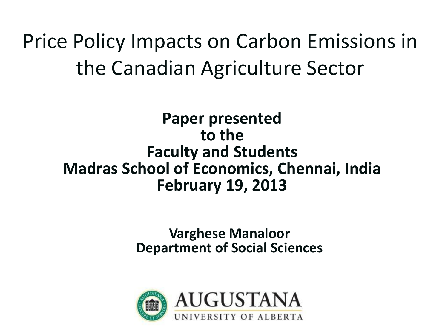Price Policy Impacts on Carbon Emissions in the Canadian Agriculture Sector

**Paper presented to the Faculty and Students Madras School of Economics, Chennai, India February 19, 2013**

> **Varghese Manaloor Department of Social Sciences**

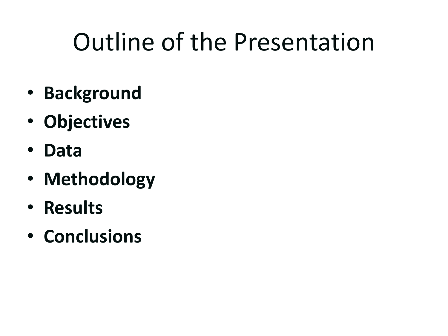## Outline of the Presentation

- **Background**
- **Objectives**
- **Data**
- **Methodology**
- **Results**
- **Conclusions**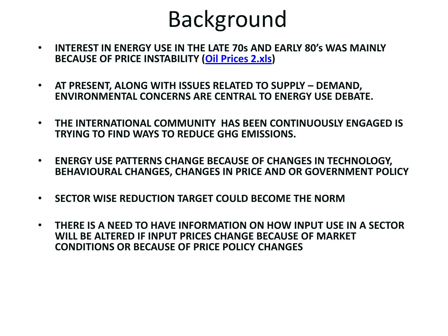### Background

- **INTEREST IN ENERGY USE IN THE LATE 70s AND EARLY 80's WAS MAINLY BECAUSE OF PRICE INSTABILITY ([Oil Prices 2.xls\)](C:/Documents and Settings/manaloor.003/Desktop/Oil Prices 2.xls)**
- **AT PRESENT, ALONG WITH ISSUES RELATED TO SUPPLY – DEMAND, ENVIRONMENTAL CONCERNS ARE CENTRAL TO ENERGY USE DEBATE.**
- **THE INTERNATIONAL COMMUNITY HAS BEEN CONTINUOUSLY ENGAGED IS TRYING TO FIND WAYS TO REDUCE GHG EMISSIONS.**
- **ENERGY USE PATTERNS CHANGE BECAUSE OF CHANGES IN TECHNOLOGY, BEHAVIOURAL CHANGES, CHANGES IN PRICE AND OR GOVERNMENT POLICY**
- **SECTOR WISE REDUCTION TARGET COULD BECOME THE NORM**
- **THERE IS A NEED TO HAVE INFORMATION ON HOW INPUT USE IN A SECTOR WILL BE ALTERED IF INPUT PRICES CHANGE BECAUSE OF MARKET CONDITIONS OR BECAUSE OF PRICE POLICY CHANGES**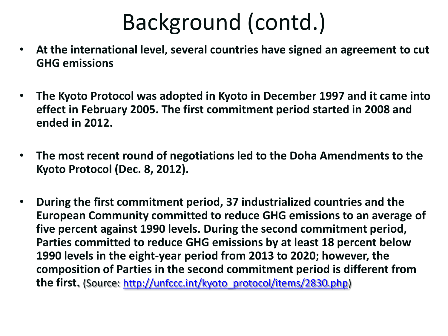### Background (contd.)

- **At the international level, several countries have signed an agreement to cut GHG emissions**
- **The Kyoto Protocol was adopted in Kyoto in December 1997 and it came into effect in February 2005. The first commitment period started in 2008 and ended in 2012.**
- **The most recent round of negotiations led to the Doha Amendments to the Kyoto Protocol (Dec. 8, 2012).**
- **During the first commitment period, 37 industrialized countries and the European Community committed to reduce GHG emissions to an average of five percent against 1990 levels. During the second commitment period, Parties committed to reduce GHG emissions by at least 18 percent below 1990 levels in the eight-year period from 2013 to 2020; however, the composition of Parties in the second commitment period is different from the first.** (Source: [http://unfccc.int/kyoto\\_protocol/items/2830.php](http://unfccc.int/kyoto_protocol/items/2830.php))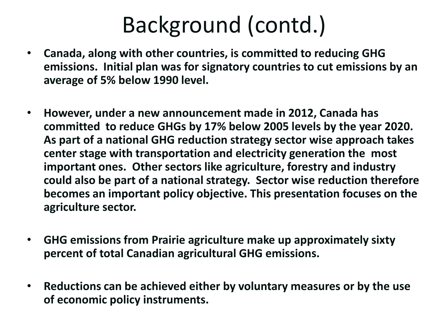### Background (contd.)

- **Canada, along with other countries, is committed to reducing GHG emissions. Initial plan was for signatory countries to cut emissions by an average of 5% below 1990 level.**
- **However, under a new announcement made in 2012, Canada has committed to reduce GHGs by 17% below 2005 levels by the year 2020. As part of a national GHG reduction strategy sector wise approach takes center stage with transportation and electricity generation the most important ones. Other sectors like agriculture, forestry and industry could also be part of a national strategy. Sector wise reduction therefore becomes an important policy objective. This presentation focuses on the agriculture sector.**
- **GHG emissions from Prairie agriculture make up approximately sixty percent of total Canadian agricultural GHG emissions.**
- **Reductions can be achieved either by voluntary measures or by the use of economic policy instruments.**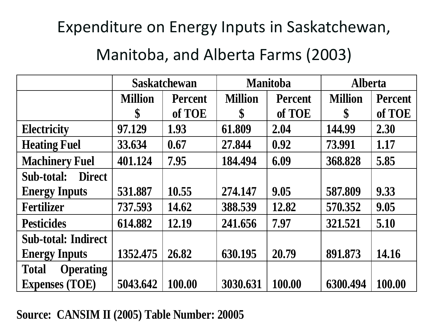#### Expenditure on Energy Inputs in Saskatchewan,

#### Manitoba, and Alberta Farms (2003)

|                                  | <b>Saskatchewan</b> |                | <b>Manitoba</b> |                | <b>Alberta</b> |         |
|----------------------------------|---------------------|----------------|-----------------|----------------|----------------|---------|
|                                  | <b>Million</b>      | <b>Percent</b> | <b>Million</b>  | <b>Percent</b> | <b>Million</b> | Percent |
|                                  | \$                  | of TOE         | \$              | of TOE         | \$             | of TOE  |
| <b>Electricity</b>               | 97.129              | 1.93           | 61.809          | 2.04           | 144.99         | 2.30    |
| <b>Heating Fuel</b>              | 33.634              | 0.67           | 27.844          | 0.92           | 73.991         | 1.17    |
| <b>Machinery Fuel</b>            | 401.124             | 7.95           | 184.494         | 6.09           | 368.828        | 5.85    |
| Sub-total:<br><b>Direct</b>      |                     |                |                 |                |                |         |
| <b>Energy Inputs</b>             | 531.887             | 10.55          | 274.147         | 9.05           | 587.809        | 9.33    |
| <b>Fertilizer</b>                | 737.593             | 14.62          | 388.539         | 12.82          | 570.352        | 9.05    |
| <b>Pesticides</b>                | 614.882             | 12.19          | 241.656         | 7.97           | 321.521        | 5.10    |
| <b>Sub-total: Indirect</b>       |                     |                |                 |                |                |         |
| <b>Energy Inputs</b>             | 1352.475            | 26.82          | 630.195         | 20.79          | 891.873        | 14.16   |
| <b>Operating</b><br><b>Total</b> |                     |                |                 |                |                |         |
| <b>Expenses (TOE)</b>            | 5043.642            | 100.00         | 3030.631        | 100.00         | 6300.494       | 100.00  |

#### **Source: CANSIM II (2005) Table Number: 20005**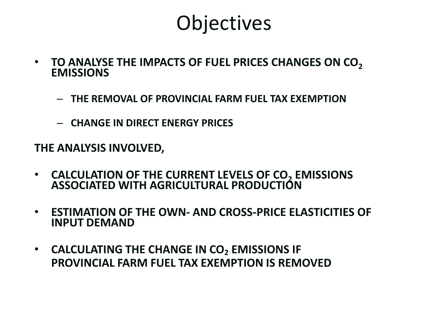### **Objectives**

- **TO ANALYSE THE IMPACTS OF FUEL PRICES CHANGES ON CO<sup>2</sup> EMISSIONS**
	- **THE REMOVAL OF PROVINCIAL FARM FUEL TAX EXEMPTION**
	- **CHANGE IN DIRECT ENERGY PRICES**

**THE ANALYSIS INVOLVED,**

- **CALCULATION OF THE CURRENT LEVELS OF CO<sup>2</sup> EMISSIONS ASSOCIATED WITH AGRICULTURAL PRODUCTION**
- **ESTIMATION OF THE OWN- AND CROSS-PRICE ELASTICITIES OF INPUT DEMAND**
- **CALCULATING THE CHANGE IN CO<sup>2</sup> EMISSIONS IF PROVINCIAL FARM FUEL TAX EXEMPTION IS REMOVED**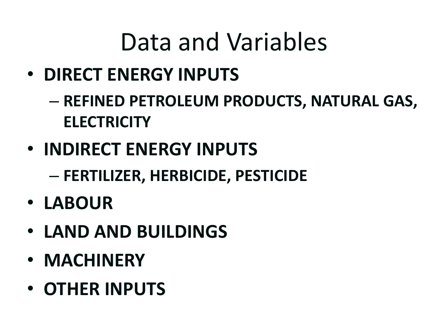## Data and Variables

- **DIRECT ENERGY INPUTS**
	- **REFINED PETROLEUM PRODUCTS, NATURAL GAS, ELECTRICITY**
- **INDIRECT ENERGY INPUTS**
	- **FERTILIZER, HERBICIDE, PESTICIDE**
- **LABOUR**
- **LAND AND BUILDINGS**
- **MACHINERY**
- **OTHER INPUTS**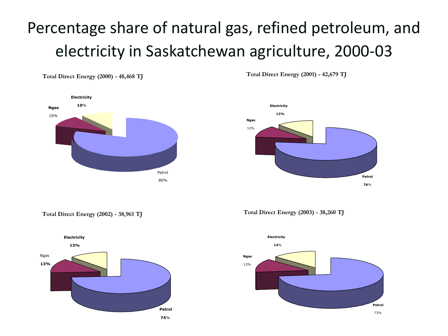### Percentage share of natural gas, refined petroleum, and electricity in Saskatchewan agriculture, 2000-03

**Total Direct Energy (2000) - 48,468 TJ**



**Total Direct Energy (2001) - 42,679 TJ**



**Total Direct Energy (2002) - 38,961 TJ**



**Total Direct Energy (2003) - 38,260 TJ**

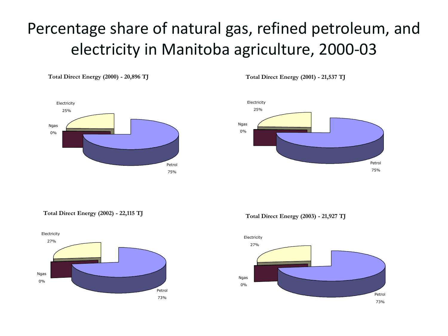#### Percentage share of natural gas, refined petroleum, and electricity in Manitoba agriculture, 2000-03

**Total Direct Energy (2000) - 20,896 TJ**



**Total Direct Energy (2001) - 21,537 TJ**



**Total Direct Energy (2002) - 22,115 TJ**



**Total Direct Energy (2003) - 21,927 TJ**

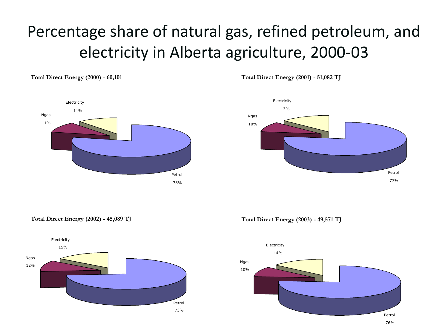### Percentage share of natural gas, refined petroleum, and electricity in Alberta agriculture, 2000-03

**Total Direct Energy (2000) - 60,101** 



**Total Direct Energy (2001) - 51,082 TJ**



**Total Direct Energy (2002) - 45,089 TJ**



**Total Direct Energy (2003) - 49,571 TJ**

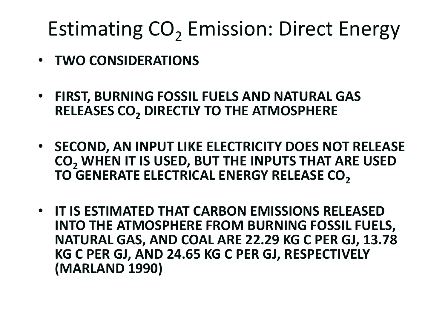## Estimating CO<sub>2</sub> Emission: Direct Energy

- **TWO CONSIDERATIONS**
- **FIRST, BURNING FOSSIL FUELS AND NATURAL GAS RELEASES CO<sup>2</sup> DIRECTLY TO THE ATMOSPHERE**
- **SECOND, AN INPUT LIKE ELECTRICITY DOES NOT RELEASE CO<sup>2</sup> WHEN IT IS USED, BUT THE INPUTS THAT ARE USED TO GENERATE ELECTRICAL ENERGY RELEASE CO<sup>2</sup>**
- **IT IS ESTIMATED THAT CARBON EMISSIONS RELEASED INTO THE ATMOSPHERE FROM BURNING FOSSIL FUELS, NATURAL GAS, AND COAL ARE 22.29 KG C PER GJ, 13.78 KG C PER GJ, AND 24.65 KG C PER GJ, RESPECTIVELY (MARLAND 1990)**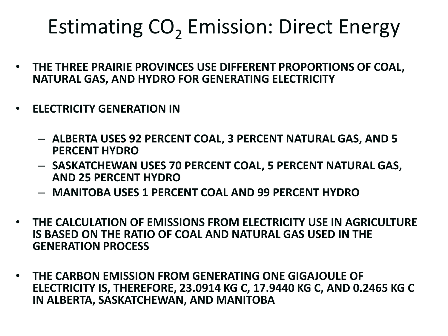## Estimating CO<sub>2</sub> Emission: Direct Energy

- **THE THREE PRAIRIE PROVINCES USE DIFFERENT PROPORTIONS OF COAL, NATURAL GAS, AND HYDRO FOR GENERATING ELECTRICITY**
- **ELECTRICITY GENERATION IN**
	- **ALBERTA USES 92 PERCENT COAL, 3 PERCENT NATURAL GAS, AND 5 PERCENT HYDRO**
	- **SASKATCHEWAN USES 70 PERCENT COAL, 5 PERCENT NATURAL GAS, AND 25 PERCENT HYDRO**
	- **MANITOBA USES 1 PERCENT COAL AND 99 PERCENT HYDRO**
- **THE CALCULATION OF EMISSIONS FROM ELECTRICITY USE IN AGRICULTURE IS BASED ON THE RATIO OF COAL AND NATURAL GAS USED IN THE GENERATION PROCESS**
- **THE CARBON EMISSION FROM GENERATING ONE GIGAJOULE OF ELECTRICITY IS, THEREFORE, 23.0914 KG C, 17.9440 KG C, AND 0.2465 KG C IN ALBERTA, SASKATCHEWAN, AND MANITOBA**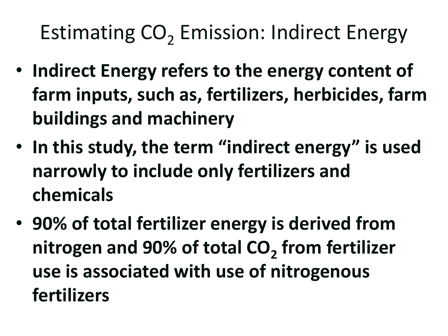## Estimating CO<sub>2</sub> Emission: Indirect Energy

- **Indirect Energy refers to the energy content of farm inputs, such as, fertilizers, herbicides, farm buildings and machinery**
- **In this study, the term "indirect energy" is used narrowly to include only fertilizers and chemicals**
- **90% of total fertilizer energy is derived from nitrogen and 90% of total CO<sup>2</sup> from fertilizer use is associated with use of nitrogenous fertilizers**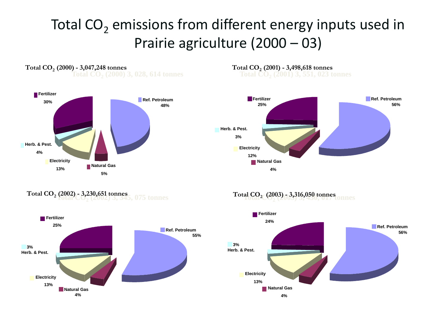#### Total  $CO<sub>2</sub>$  emissions from different energy inputs used in Prairie agriculture (2000 – 03)

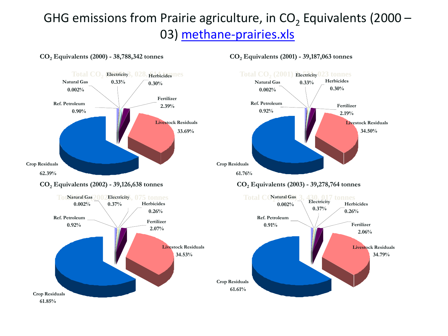#### GHG emissions from Prairie agriculture, in CO<sub>2</sub> Equivalents (2000 – 03) [methane-prairies.xls](C:/Documents and Settings/manaloor.003/Desktop/methane-prairies.xls)



**CO<sup>2</sup> Equivalents (2000) - 38,788,342 tonnes**

**CO<sup>2</sup> Equivalents (2001) - 39,187,063 tonnes**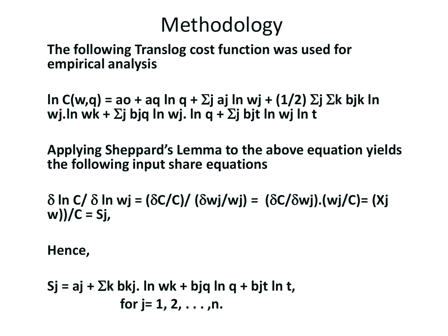### Methodology

**The following Translog cost function was used for empirical analysis**

 $\ln C(w,q) = a_0 + aq \ln q + \Sigma j$  aj ln wj + (1/2)  $\Sigma j \Sigma k$  bjk ln wj.ln wk +  $\Sigma$ j bjq ln wj. ln q +  $\Sigma$ j bjt ln wj ln t

**Applying Sheppard's Lemma to the above equation yields the following input share equations**

 $\delta$  ln C/  $\delta$  ln wj = ( $\delta$ C/C)/ ( $\delta$ wj/wj) = ( $\delta$ C/ $\delta$ wj).(wj/C)= (Xj **w))/C = Sj,**

**Hence,**

$$
Sj = aj + \sum k bkj
$$
. In wk + big ln q + bjt ln t,  
for j= 1, 2, ..., n.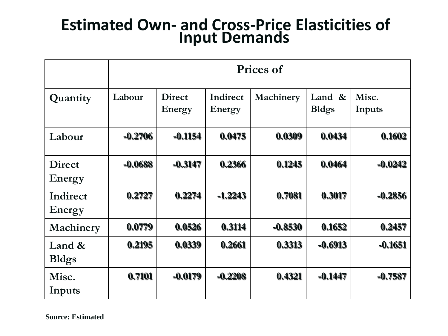#### **Estimated Own- and Cross-Price Elasticities of Input Demands**

|                         | Prices of |                         |                    |           |                           |                 |
|-------------------------|-----------|-------------------------|--------------------|-----------|---------------------------|-----------------|
| Quantity                | Labour    | <b>Direct</b><br>Energy | Indirect<br>Energy | Machinery | Land $\&$<br><b>Bldgs</b> | Misc.<br>Inputs |
| Labour                  | $-0.2706$ | $-0.1154$               | 0.0475             | 0.0309    | 0.0434                    | 0.1602          |
| <b>Direct</b><br>Energy | $-0.0688$ | $-0.3147$               | 0.2366             | 0.1245    | 0.0464                    | $-0.0242$       |
| Indirect<br>Energy      | 0.2727    | 0.2274                  | $-1.2243$          | 0.7081    | 0.3017                    | $-0.2856$       |
| Machinery               | 0.0779    | 0.0526                  | 0.3114             | $-0.8530$ | 0.1652                    | 0.2457          |
| Land &<br><b>Bldgs</b>  | 0.2195    | 0.0339                  | 0.2661             | 0.3313    | $-0.6913$                 | $-0.1651$       |
| Misc.<br>Inputs         | 0.7101    | $-0.0179$               | $-0.2208$          | 0.4321    | $-0.1447$                 | $-0.7587$       |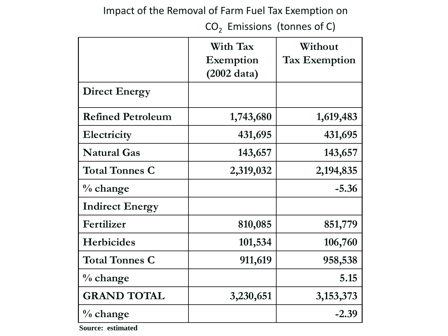#### Impact of the Removal of Farm Fuel Tax Exemption on

 $CO<sub>2</sub>$  Emissions (tonnes of C)

|                          | With Tax<br>Exemption<br>$(2002 \text{ data})$ | Without<br><b>Tax Exemption</b> |
|--------------------------|------------------------------------------------|---------------------------------|
| <b>Direct Energy</b>     |                                                |                                 |
| <b>Refined Petroleum</b> | 1,743,680                                      | 1,619,483                       |
| Electricity              | 431,695                                        | 431,695                         |
| <b>Natural Gas</b>       | 143,657                                        | 143,657                         |
| <b>Total Tonnes C</b>    | 2,319,032                                      | 2, 194, 835                     |
| $\%$ change              |                                                | $-5.36$                         |
| <b>Indirect Energy</b>   |                                                |                                 |
| Fertilizer               | 810,085                                        | 851,779                         |
| <b>Herbicides</b>        | 101,534                                        | 106,760                         |
| <b>Total Tonnes C</b>    | 911,619                                        | 958,538                         |
| $\%$ change              |                                                | 5.15                            |
| <b>GRAND TOTAL</b>       | 3,230,651                                      | 3, 153, 373                     |
| $\%$ change              |                                                | $-2.39$                         |

**Source: estimated**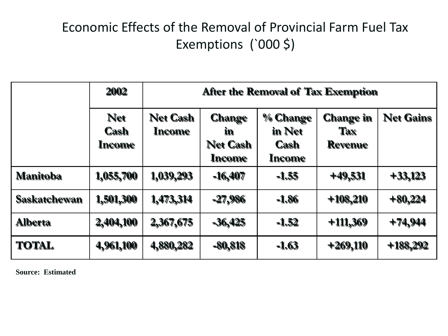#### Economic Effects of the Removal of Provincial Farm Fuel Tax Exemptions (`000 \$)

|                     | 2002                         | After the Removal of Tax Exemption |                                                         |                                             |                                                  |                  |
|---------------------|------------------------------|------------------------------------|---------------------------------------------------------|---------------------------------------------|--------------------------------------------------|------------------|
|                     | <b>Net</b><br>Cash<br>Income | <b>Net Cash</b><br>Income          | <b>Change</b><br>in<br><b>Net Cash</b><br><b>Income</b> | % Change<br>in Net<br><b>Cash</b><br>Income | <b>Change in</b><br><b>Tax</b><br><b>Revenue</b> | <b>Net Gains</b> |
| <b>Manitoba</b>     | 1,055,700                    | 1,039,293                          | $-16,407$                                               | $-1.55$                                     | $+49,531$                                        | $+33,123$        |
| <b>Saskatchewan</b> | 1,501,300                    | 1,473,314                          | $-27,986$                                               | $-1.86$                                     | $+108,210$                                       | $+80,224$        |
| <b>Alberta</b>      | 2,404,100                    | 2,367,675                          | $-36,425$                                               | $-1.52$                                     | $+111,369$                                       | $+74,944$        |
| <b>TOTAL</b>        | 4,961,100                    | 4,880,282                          | $-80,818$                                               | $-1.63$                                     | $+269,110$                                       | $+188,292$       |

**Source: Estimated**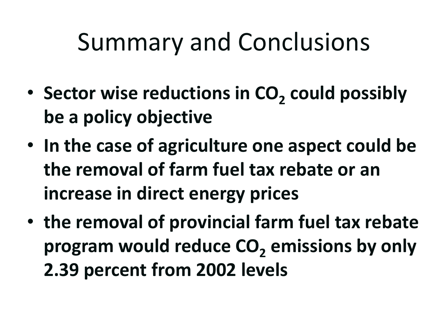## Summary and Conclusions

- **Sector wise reductions in CO<sub>2</sub> could possibly be a policy objective**
- **In the case of agriculture one aspect could be the removal of farm fuel tax rebate or an increase in direct energy prices**
- **the removal of provincial farm fuel tax rebate program would reduce CO<sup>2</sup> emissions by only 2.39 percent from 2002 levels**